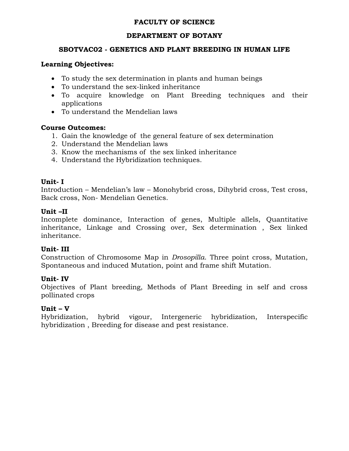## **FACULTY OF SCIENCE**

### **DEPARTMENT OF BOTANY**

### **SBOTVAC02 - GENETICS AND PLANT BREEDING IN HUMAN LIFE**

### **Learning Objectives:**

- To study the sex determination in plants and human beings
- To understand the sex-linked inheritance
- To acquire knowledge on Plant Breeding techniques and their applications
- To understand the Mendelian laws

### **Course Outcomes:**

- 1. Gain the knowledge of the general feature of sex determination
- 2. Understand the Mendelian laws
- 3. Know the mechanisms of the sex linked inheritance
- 4. Understand the Hybridization techniques.

### **Unit- I**

Introduction – Mendelian's law – Monohybrid cross, Dihybrid cross, Test cross, Back cross, Non- Mendelian Genetics.

### **Unit –II**

Incomplete dominance, Interaction of genes, Multiple allels, Quantitative inheritance, Linkage and Crossing over, Sex determination , Sex linked inheritance.

### **Unit- III**

Construction of Chromosome Map in *Drosopilla*. Three point cross, Mutation, Spontaneous and induced Mutation, point and frame shift Mutation.

# **Unit- IV**

Objectives of Plant breeding, Methods of Plant Breeding in self and cross pollinated crops

### **Unit – V**

Hybridization, hybrid vigour, Intergeneric hybridization, Interspecific hybridization , Breeding for disease and pest resistance.